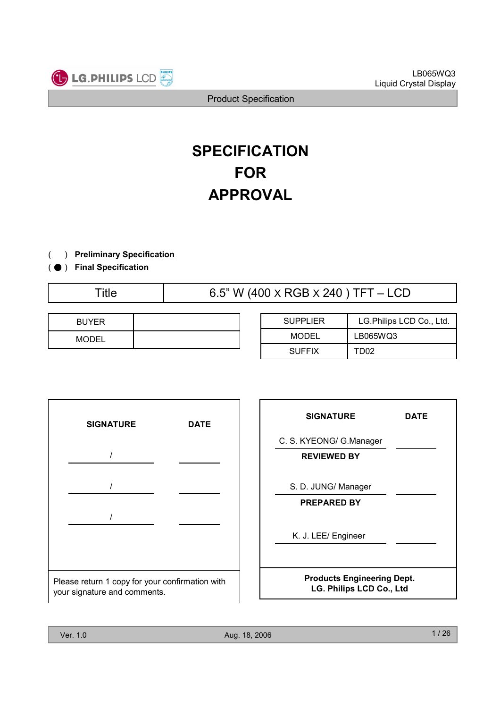

# **SPECIFICATION** FOR APPROVAL

- ) Preliminary Specification(
- ( ) Final Specification
	-

Title  $6.5$ " W (400 x RGB x 240 ) TFT – LCD

| <b>BUYER</b> |  |
|--------------|--|
| <b>MODEL</b> |  |

| <b>SUPPLIER</b> | LG.Philips LCD Co., Ltd. |  |  |
|-----------------|--------------------------|--|--|
| MODEL           | LB065WQ3                 |  |  |
| <b>SUFFIX</b>   | TD02                     |  |  |



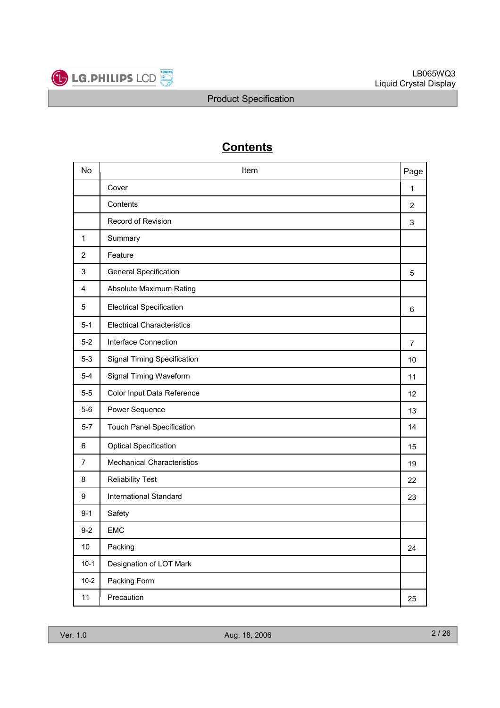

## **Contents**

| <b>No</b>      | Item                               | Page           |
|----------------|------------------------------------|----------------|
|                | Cover                              | 1              |
|                | Contents                           | 2              |
|                | Record of Revision                 | 3              |
| $\mathbf{1}$   | Summary                            |                |
| $\overline{2}$ | Feature                            |                |
| 3              | <b>General Specification</b>       | 5              |
| 4              | Absolute Maximum Rating            |                |
| 5              | <b>Electrical Specification</b>    | 6              |
| $5 - 1$        | <b>Electrical Characteristics</b>  |                |
| $5-2$          | Interface Connection               | $\overline{7}$ |
| $5-3$          | <b>Signal Timing Specification</b> | 10             |
| $5 - 4$        | Signal Timing Waveform             | 11             |
| $5-5$          | Color Input Data Reference         | 12             |
| $5-6$          | Power Sequence                     | 13             |
| $5-7$          | <b>Touch Panel Specification</b>   | 14             |
| 6              | <b>Optical Specification</b>       | 15             |
| $\overline{7}$ | <b>Mechanical Characteristics</b>  | 19             |
| 8              | <b>Reliability Test</b>            | 22             |
| 9              | <b>International Standard</b>      | 23             |
| $9 - 1$        | Safety                             |                |
| $9 - 2$        | <b>EMC</b>                         |                |
| $10$           | Packing                            | 24             |
| $10-1$         | Designation of LOT Mark            |                |
| $10 - 2$       | Packing Form                       |                |
| 11             | Precaution                         | 25             |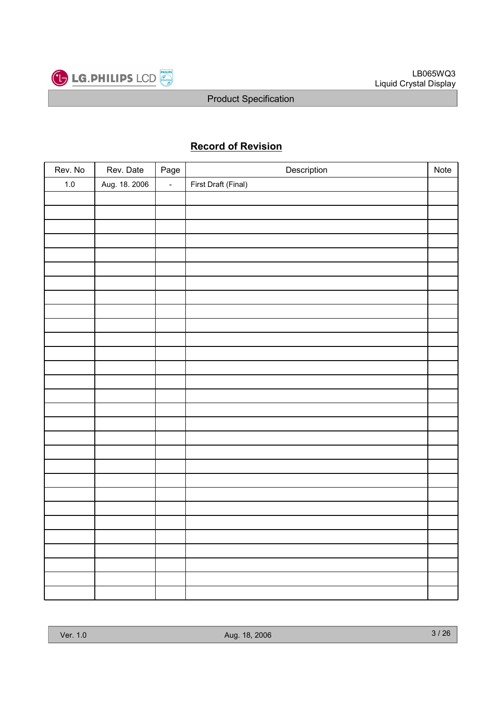

## Record of Revision

| Rev. No | Rev. Date     | Page           | Description         | Note |
|---------|---------------|----------------|---------------------|------|
| $1.0\,$ | Aug. 18. 2006 | $\mathbb{Z}^2$ | First Draft (Final) |      |
|         |               |                |                     |      |
|         |               |                |                     |      |
|         |               |                |                     |      |
|         |               |                |                     |      |
|         |               |                |                     |      |
|         |               |                |                     |      |
|         |               |                |                     |      |
|         |               |                |                     |      |
|         |               |                |                     |      |
|         |               |                |                     |      |
|         |               |                |                     |      |
|         |               |                |                     |      |
|         |               |                |                     |      |
|         |               |                |                     |      |
|         |               |                |                     |      |
|         |               |                |                     |      |
|         |               |                |                     |      |
|         |               |                |                     |      |
|         |               |                |                     |      |
|         |               |                |                     |      |
|         |               |                |                     |      |
|         |               |                |                     |      |
|         |               |                |                     |      |
|         |               |                |                     |      |
|         |               |                |                     |      |
|         |               |                |                     |      |
|         |               |                |                     |      |
|         |               |                |                     |      |
|         |               |                |                     |      |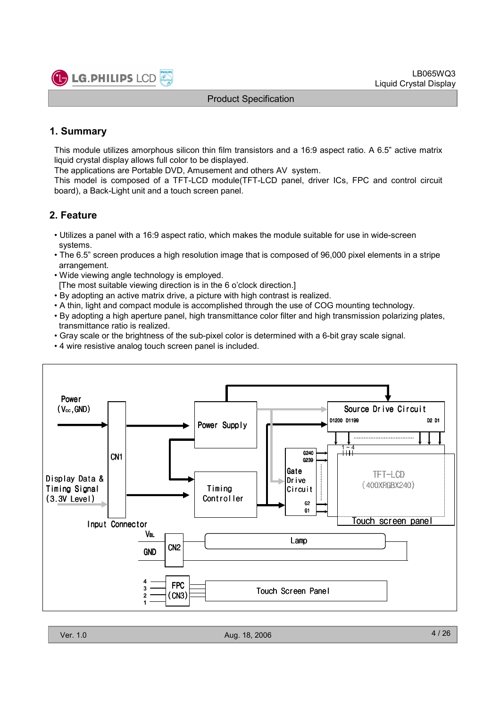

## 1. Summary

This module utilizes amorphous silicon thin film transistors and a 16:9 aspect ratio. A 6.5" active matrix liquid crystal display allows full color to be displayed.

The applications are Portable DVD, Amusement and others AV system.

This model is composed of a TFT-LCD module(TFT-LCD panel, driver ICs, FPC and control circuit board), a Back-Light unit and a touch screen panel.

## 2. Feature

- Utilizes a panel with a 16:9 aspect ratio, which makes the module suitable for use in wide-screen systems.
- The 6.5" screen produces a high resolution image that is composed of 96,000 pixel elements in a stripe arrangement.
- Wide viewing angle technology is employed.

[The most suitable viewing direction is in the 6 o'clock direction.]

- By adopting an active matrix drive, a picture with high contrast is realized.
- A thin, light and compact module is accomplished through the use of COG mounting technology.
- By adopting a high aperture panel, high transmittance color filter and high transmission polarizing plates, transmittance ratio is realized.
- Gray scale or the brightness of the sub-pixel color is determined with a 6-bit gray scale signal.
- 4 wire resistive analog touch screen panel is included.

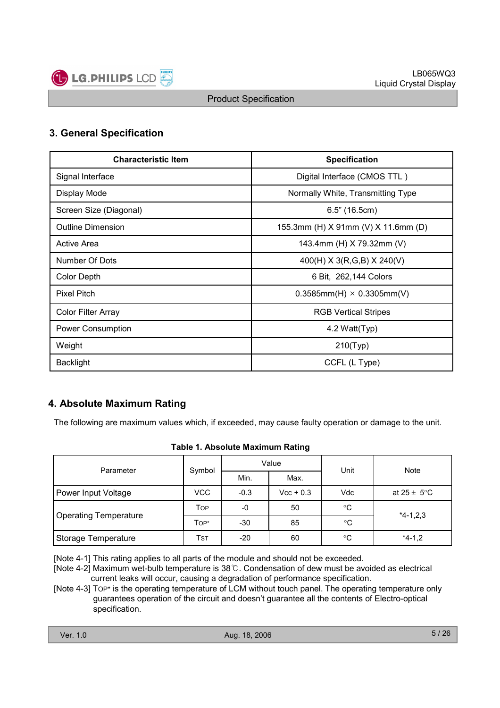

## 3. General Specification

| <b>Characteristic Item</b> | <b>Specification</b>                |
|----------------------------|-------------------------------------|
| Signal Interface           | Digital Interface (CMOS TTL)        |
| Display Mode               | Normally White, Transmitting Type   |
| Screen Size (Diagonal)     | $6.5$ " (16.5cm)                    |
| <b>Outline Dimension</b>   | 155.3mm (H) X 91mm (V) X 11.6mm (D) |
| <b>Active Area</b>         | 143.4mm (H) X 79.32mm (V)           |
| Number Of Dots             | 400(H) X 3(R,G,B) X 240(V)          |
| <b>Color Depth</b>         | 6 Bit, 262,144 Colors               |
| <b>Pixel Pitch</b>         | $0.3585mm(H) \times 0.3305mm(V)$    |
| <b>Color Filter Array</b>  | <b>RGB Vertical Stripes</b>         |
| Power Consumption          | 4.2 Watt(Typ)                       |
| Weight                     | 210(Typ)                            |
| <b>Backlight</b>           | CCFL (L Type)                       |

## 4. Absolute Maximum Rating

The following are maximum values which, if exceeded, may cause faulty operation or damage to the unit.

#### Table 1. Absolute Maximum Rating

| Parameter                    |            |        | Value       | Unit        | Note                    |  |
|------------------------------|------------|--------|-------------|-------------|-------------------------|--|
|                              | Symbol     | Min.   | Max.        |             |                         |  |
| Power Input Voltage          | <b>VCC</b> | $-0.3$ | $Vec + 0.3$ | Vdc         | at $25 \pm 5^{\circ}$ C |  |
|                              | <b>TOP</b> | -0     | 50          | $^{\circ}C$ | $*4-1,2,3$              |  |
| <b>Operating Temperature</b> | Top*       | -30    | 85          | °C          |                         |  |
| Storage Temperature          | Tst        | -20    | 60          | °C          | $*4-1,2$                |  |

[Note 4-1] This rating applies to all parts of the module and should not be exceeded.

[Note 4-2] Maximum wet-bulb temperature is 38 °C. Condensation of dew must be avoided as electrical current leaks will occur, causing a degradation of performance specification.

[Note 4-3] TOP\* is the operating temperature of LCM without touch panel. The operating temperature only guarantees operation of the circuit and doesn't guarantee all the contents of Electro-optical specification.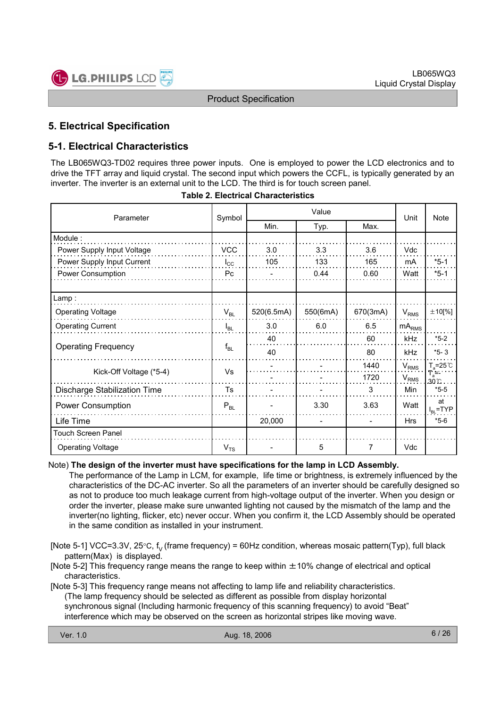

## 5. Electrical Specification

## 5-1. Electrical Characteristics

The LB065WQ3-TD02 requires three power inputs. One is employed to power the LCD electronics and to drive the TFT array and liquid crystal. The second input which powers the CCFL, is typically generated by an inverter. The inverter is an external unit to the LCD. The third is for touch screen panel.

| Parameter                    | Symbol         | Value      |          |                | Unit              | Note                |
|------------------------------|----------------|------------|----------|----------------|-------------------|---------------------|
|                              |                | Min.       | Typ.     | Max.           |                   |                     |
| Module:                      |                |            |          |                |                   |                     |
| Power Supply Input Voltage   | <b>VCC</b>     | 3.0        | 3.3      | 3.6            | <b>Vdc</b>        |                     |
| Power Supply Input Current   | $I_{\rm CC}$   | 105        | 133      | 165            | mA                | $*5-1$              |
| Power Consumption            | P <sub>c</sub> |            | 0.44     | 0.60           | Watt              | $*5-1$              |
|                              |                |            |          |                |                   |                     |
| Lamp :                       |                |            |          |                |                   |                     |
| <b>Operating Voltage</b>     | $V_{BL}$       | 520(6.5mA) | 550(6mA) | 670(3mA)       | $V_{RMS}$         | $\pm 10$ [%]        |
| <b>Operating Current</b>     | $I_{BL}$       | 3.0        | 6.0      | 6.5            | mA <sub>RMS</sub> |                     |
|                              |                | 40         |          | 60             | kHz               | $*5-2$              |
| <b>Operating Frequency</b>   | $f_{BL}$       | 40         |          | 80             | kHz               | $*5 - 3$            |
|                              | Vs             |            |          | 1440           | $V_{RMS}$         | $T_a = 25^{\circ}C$ |
| Kick-Off Voltage (*5-4)      |                |            |          | 1720           | $V_{RMS}$         | $T_a =$<br>30 C     |
| Discharge Stabilization Time | Ts             |            |          | 3              | Min               | $*5-5$              |
| Power Consumption            | $P_{BL}$       |            | 3.30     | 3.63           | Watt              | at<br>$I_{BL}$ =TYP |
| Life Time                    |                | 20,000     |          |                | <b>Hrs</b>        | $*5-6$              |
| Touch Screen Panel           |                |            |          |                |                   |                     |
| <b>Operating Voltage</b>     | $V_{TS}$       |            | 5        | $\overline{7}$ | <b>Vdc</b>        |                     |

#### Note) The design of the inverter must have specifications for the lamp in LCD Assembly.

The performance of the Lamp in LCM, for example, life time or brightness, is extremely influenced by the characteristics of the DC-AC inverter. So all the parameters of an inverter should be carefully designed so as not to produce too much leakage current from high-voltage output of the inverter. When you design or order the inverter, please make sure unwanted lighting not caused by the mismatch of the lamp and the inverter(no lighting, flicker, etc) never occur. When you confirm it, the LCD Assembly should be operated in the same condition as installed in your instrument.

[Note 5-1] VCC=3.3V, 25°C,  $f_v$  (frame frequency) = 60Hz condition, whereas mosaic pattern(Typ), full black pattern(Max) is displayed.

[Note 5-2] This frequency range means the range to keep within  $\pm$ 10% change of electrical and optical characteristics.

[Note 5-3] This frequency range means not affecting to lamp life and reliability characteristics. (The lamp frequency should be selected as different as possible from display horizontal synchronous signal (Including harmonic frequency of this scanning frequency) to avoid "Beat" interference which may be observed on the screen as horizontal stripes like moving wave.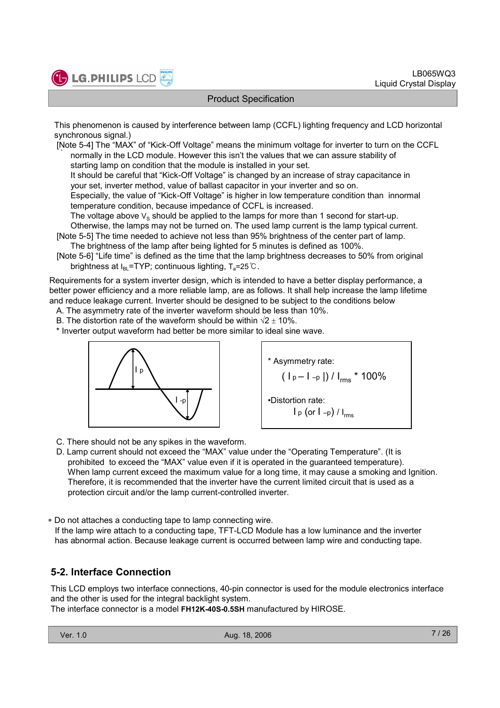

This phenomenon is caused by interference between lamp (CCFL) lighting frequency and LCD horizontal synchronous signal.)

. [Note 5-4] The "MAX" of "Kick-Off Voltage" means the minimum voltage for inverter to turn on the CCFL normally in the LCD module. However this isn't the values that we can assure stability of starting lamp on condition that the module is installed in your set.

It should be careful that "Kick-Off Voltage" is changed by an increase of stray capacitance in your set, inverter method, value of ballast capacitor in your inverter and so on.

Especially, the value of "Kick-Off Voltage" is higher in low temperature condition than innormal temperature condition, because impedance of CCFL is increased.

The voltage above  $V_S$  should be applied to the lamps for more than 1 second for start-up.

Otherwise, the lamps may not be turned on. The used lamp current is the lamp typical current.

[Note 5-5] The time needed to achieve not less than 95% brightness of the center part of lamp. The brightness of the lamp after being lighted for 5 minutes is defined as 100%.

[Note 5-6] "Life time" is defined as the time that the lamp brightness decreases to 50% from original brightness at  $I_{BL}$ =TYP; continuous lighting,  $T_a$ =25°C.

Requirements for a system inverter design, which is intended to have a better display performance, a better power efficiency and a more reliable lamp, are as follows. It shall help increase the lamp lifetime and reduce leakage current. Inverter should be designed to be subject to the conditions below

A. The asymmetry rate of the inverter waveform should be less than 10%.

B. The distortion rate of the waveform should be within  $\sqrt{2} + 10\%$ .

\* Inverter output waveform had better be more similar to ideal sine wave.





C. There should not be any spikes in the waveform.

D. Lamp current should not exceed the "MAX" value under the "Operating Temperature". (It is prohibited to exceed the "MAX" value even if it is operated in the guaranteed temperature). When lamp current exceed the maximum value for a long time, it may cause a smoking and Ignition. Therefore, it is recommended that the inverter have the current limited circuit that is used as a protection circuit and/or the lamp current-controlled inverter.

∗ Do not attaches a conducting tape to lamp connecting wire.

If the lamp wire attach to a conducting tape, TFT-LCD Module has a low luminance and the inverter has abnormal action. Because leakage current is occurred between lamp wire and conducting tape.

## 5-2. Interface Connection

This LCD employs two interface connections, 40-pin connector is used for the module electronics interface and the other is used for the integral backlight system.

The interface connector is a model FH12K-40S-0.5SH manufactured by HIROSE.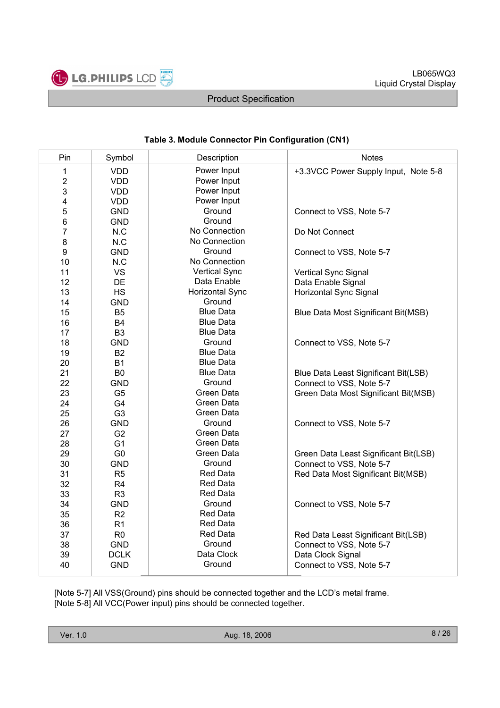

#### Table 3. Module Connector Pin Configuration (CN1)

| Pin            | Symbol         | Description            | <b>Notes</b>                          |
|----------------|----------------|------------------------|---------------------------------------|
| 1              | <b>VDD</b>     | Power Input            | +3.3VCC Power Supply Input, Note 5-8  |
| $\overline{2}$ | <b>VDD</b>     | Power Input            |                                       |
| 3              | <b>VDD</b>     | Power Input            |                                       |
| 4              | <b>VDD</b>     | Power Input            |                                       |
| 5              | <b>GND</b>     | Ground                 | Connect to VSS, Note 5-7              |
| 6              | <b>GND</b>     | Ground                 |                                       |
| $\overline{7}$ | N.C            | No Connection          | Do Not Connect                        |
| 8              | N.C            | No Connection          |                                       |
| 9              | <b>GND</b>     | Ground                 | Connect to VSS, Note 5-7              |
| 10             | N.C            | No Connection          |                                       |
| 11             | <b>VS</b>      | <b>Vertical Sync</b>   | Vertical Sync Signal                  |
| 12             | DE             | Data Enable            | Data Enable Signal                    |
| 13             | <b>HS</b>      | <b>Horizontal Sync</b> | Horizontal Sync Signal                |
| 14             | <b>GND</b>     | Ground                 |                                       |
| 15             | B <sub>5</sub> | <b>Blue Data</b>       | Blue Data Most Significant Bit(MSB)   |
| 16             | <b>B4</b>      | <b>Blue Data</b>       |                                       |
| 17             | B <sub>3</sub> | <b>Blue Data</b>       |                                       |
| 18             | <b>GND</b>     | Ground                 | Connect to VSS, Note 5-7              |
| 19             | <b>B2</b>      | <b>Blue Data</b>       |                                       |
| 20             | <b>B1</b>      | <b>Blue Data</b>       |                                       |
| 21             | B <sub>0</sub> | <b>Blue Data</b>       | Blue Data Least Significant Bit(LSB)  |
| 22             | <b>GND</b>     | Ground                 | Connect to VSS, Note 5-7              |
| 23             | G <sub>5</sub> | Green Data             | Green Data Most Significant Bit(MSB)  |
| 24             | G4             | Green Data             |                                       |
| 25             | G <sub>3</sub> | Green Data             |                                       |
| 26             | <b>GND</b>     | Ground                 | Connect to VSS, Note 5-7              |
| 27             | G <sub>2</sub> | Green Data             |                                       |
| 28             | G <sub>1</sub> | Green Data             |                                       |
| 29             | G <sub>0</sub> | Green Data             | Green Data Least Significant Bit(LSB) |
| 30             | <b>GND</b>     | Ground                 | Connect to VSS, Note 5-7              |
| 31             | R <sub>5</sub> | <b>Red Data</b>        | Red Data Most Significant Bit(MSB)    |
| 32             | R4             | <b>Red Data</b>        |                                       |
| 33             | R <sub>3</sub> | <b>Red Data</b>        |                                       |
| 34             | <b>GND</b>     | Ground                 | Connect to VSS, Note 5-7              |
| 35             | R2             | Red Data               |                                       |
| 36             | R <sub>1</sub> | Red Data               |                                       |
| 37             | R <sub>0</sub> | <b>Red Data</b>        | Red Data Least Significant Bit(LSB)   |
| 38             | <b>GND</b>     | Ground                 | Connect to VSS, Note 5-7              |
| 39             | <b>DCLK</b>    | Data Clock             | Data Clock Signal                     |
| 40             | <b>GND</b>     | Ground                 | Connect to VSS, Note 5-7              |

[Note 5-7] All VSS(Ground) pins should be connected together and the LCD's metal frame. [Note 5-8] All VCC(Power input) pins should be connected together.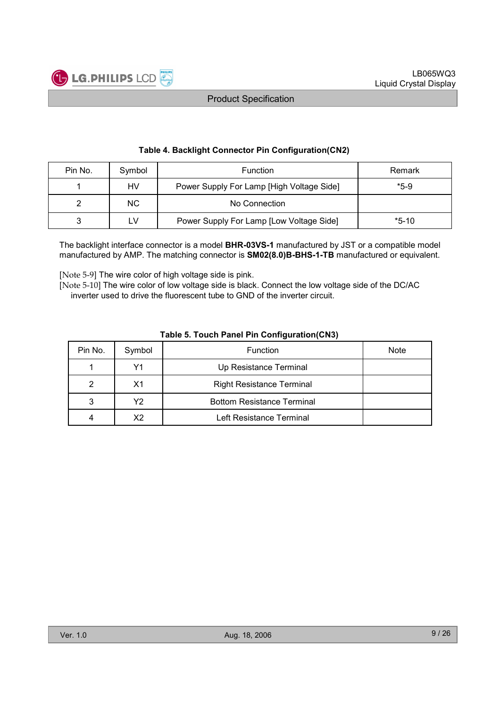

#### Table 4. Backlight Connector Pin Configuration(CN2)

| Pin No. | Symbol | <b>Function</b>                           | Remark  |
|---------|--------|-------------------------------------------|---------|
|         | HV     | Power Supply For Lamp [High Voltage Side] | $*5-9$  |
|         | NC.    | No Connection                             |         |
|         | ∟V     | Power Supply For Lamp [Low Voltage Side]  | $*5-10$ |

The backlight interface connector is a model **BHR-03VS-1** manufactured by JST or a compatible model manufactured by AMP. The matching connector is SM02(8.0)B-BHS-1-TB manufactured or equivalent.

[Note 5-9] The wire color of high voltage side is pink.

[Note 5-10] The wire color of low voltage side is black. Connect the low voltage side of the DC/AC inverter used to drive the fluorescent tube to GND of the inverter circuit.

|         | $1.4419$ $1.4449$ $1.1.419$ $1.11.401$ $1.119$ |                                   |             |  |  |  |  |
|---------|------------------------------------------------|-----------------------------------|-------------|--|--|--|--|
| Pin No. | Symbol                                         | Function                          | <b>Note</b> |  |  |  |  |
|         | Υ1                                             | Up Resistance Terminal            |             |  |  |  |  |
| 2       | X1                                             | <b>Right Resistance Terminal</b>  |             |  |  |  |  |
| 3       | Υ2                                             | <b>Bottom Resistance Terminal</b> |             |  |  |  |  |
| 4       | X2                                             | Left Resistance Terminal          |             |  |  |  |  |

#### Table 5. Touch Panel Pin Configuration(CN3)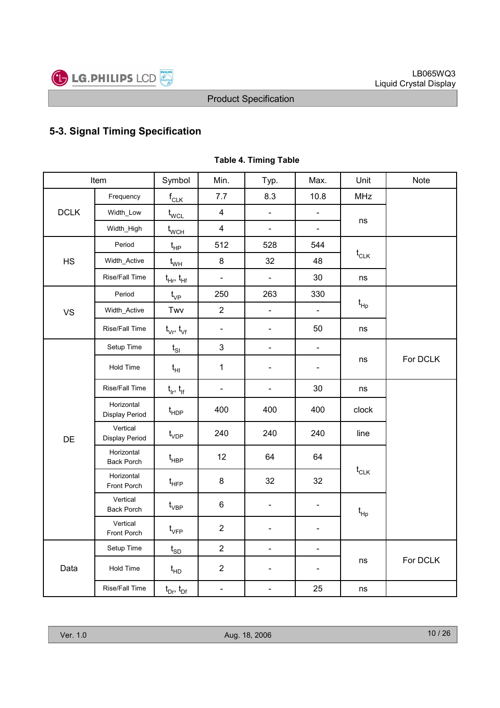

## 5-3. Signal Timing Specification

|             | Item                            | Symbol                            | Min.                     | Typ.                     | Max.                         | Unit                                 | Note     |
|-------------|---------------------------------|-----------------------------------|--------------------------|--------------------------|------------------------------|--------------------------------------|----------|
|             | Frequency                       | $f_{CLK}$                         | 7.7                      | 8.3                      | 10.8                         | <b>MHz</b>                           |          |
| <b>DCLK</b> | Width_Low                       | $t_{\text{WCL}}$                  | $\overline{\mathbf{4}}$  | $\blacksquare$           | $\blacksquare$               |                                      |          |
|             | Width_High                      | $\mathfrak{t}_{\text{WCH}}$       | $\overline{\mathbf{4}}$  | $\overline{\phantom{a}}$ | $\blacksquare$               | ns                                   |          |
|             | Period                          | $t_{HP}$                          | 512                      | 528                      | 544                          |                                      |          |
| HS          | Width_Active                    | $t_{WH}$                          | 8                        | 32                       | 48                           | $t_{CLK}$                            |          |
|             | Rise/Fall Time                  | $t_{\text{Hf}}$ , $t_{\text{Hf}}$ | $\frac{1}{2}$            | $\blacksquare$           | 30                           | ns                                   |          |
|             | Period                          | $t_{VP}$                          | 250                      | 263                      | 330                          |                                      |          |
| <b>VS</b>   | Width_Active                    | Twv                               | $\overline{2}$           | $\Box$                   | $\blacksquare$               | $t_{\sf HP}$                         |          |
|             | Rise/Fall Time                  | $t_{\vee r}$ , $t_{\vee f}$       | $\overline{\phantom{a}}$ | $\blacksquare$           | 50                           | ns                                   |          |
|             | Setup Time                      | $t_{\rm SI}$                      | 3                        | $\blacksquare$           | $\overline{\phantom{a}}$     |                                      |          |
|             | Hold Time                       | $t_{HI}$                          | $\mathbf{1}$             | $\overline{\phantom{a}}$ | $\qquad \qquad \blacksquare$ | ns                                   | For DCLK |
|             | Rise/Fall Time                  | $t_{ir}$ , $t_{if}$               | $\blacksquare$           | $\overline{\phantom{a}}$ | 30                           | ns                                   |          |
|             | Horizontal<br>Display Period    | $t_{\sf HDP}$                     | 400                      | 400                      | 400                          | clock                                |          |
| DE          | Vertical<br>Display Period      | $t_{VDP}$                         | 240                      | 240                      | 240                          | line                                 |          |
|             | Horizontal<br><b>Back Porch</b> | $t_{\sf HBP}$                     | 12                       | 64                       | 64                           |                                      |          |
|             | Horizontal<br>Front Porch       | $t_{\scriptscriptstyle \sf HFP}$  | 8                        | 32                       | 32                           | $t_{\scriptscriptstyle{\text{CLK}}}$ |          |
|             | Vertical<br><b>Back Porch</b>   | $\mathfrak{t}_{\mathsf{VBP}}$     | 6                        | $\overline{\phantom{a}}$ | $\blacksquare$               | $t_{\sf HD}$                         |          |
|             | Vertical<br>Front Porch         | $t_{\scriptscriptstyle\rm VFP}$   | $\overline{2}$           | $\overline{\phantom{a}}$ | $\overline{\phantom{0}}$     |                                      |          |
|             | Setup Time                      | $t_{SD}$                          | $\overline{2}$           | $\overline{\phantom{a}}$ | $\overline{\phantom{0}}$     |                                      |          |
| Data        | Hold Time                       | $t_{HD}$                          | $\overline{2}$           | $\overline{\phantom{a}}$ | ÷,                           | ns                                   | For DCLK |
|             | Rise/Fall Time                  | $t_{Dr}$ , $t_{Df}$               | $\blacksquare$           | $\blacksquare$           | 25                           | ns                                   |          |

### Table 4. Timing Table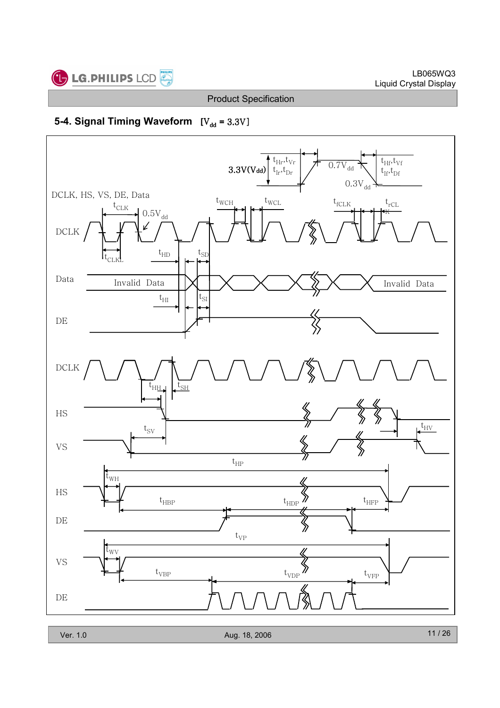

## 5-4. Signal Timing Waveform  $[V_{dd} = 3.3V]$

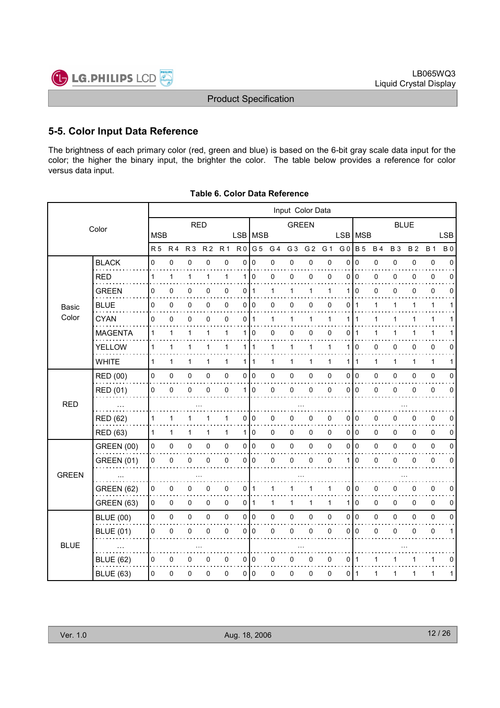LB065WQ3



## 5-5. Color Input Data Reference

The brightness of each primary color (red, green and blue) is based on the 6-bit gray scale data input for the color; the higher the binary input, the brighter the color. The table below provides a reference for color versus data input.

|              |                                                                                                                                                                                                                                                                                                                                                                                                                                                                                                                                                                                                                                                                                                                                                                                                                                                                                                                                                                                                                                                                                                                                                                                                                                                                                                                                                                                                                                                                                                                                                                                                                                                                                                                                                                                                                                                                                                                                                                                                                                                                                                                                                                                                                                                                      |                |                                                                                                           |                |                |                |                |                |                |                |                |             |                |             |           |             |           |             | <b>LSB</b>  |
|--------------|----------------------------------------------------------------------------------------------------------------------------------------------------------------------------------------------------------------------------------------------------------------------------------------------------------------------------------------------------------------------------------------------------------------------------------------------------------------------------------------------------------------------------------------------------------------------------------------------------------------------------------------------------------------------------------------------------------------------------------------------------------------------------------------------------------------------------------------------------------------------------------------------------------------------------------------------------------------------------------------------------------------------------------------------------------------------------------------------------------------------------------------------------------------------------------------------------------------------------------------------------------------------------------------------------------------------------------------------------------------------------------------------------------------------------------------------------------------------------------------------------------------------------------------------------------------------------------------------------------------------------------------------------------------------------------------------------------------------------------------------------------------------------------------------------------------------------------------------------------------------------------------------------------------------------------------------------------------------------------------------------------------------------------------------------------------------------------------------------------------------------------------------------------------------------------------------------------------------------------------------------------------------|----------------|-----------------------------------------------------------------------------------------------------------|----------------|----------------|----------------|----------------|----------------|----------------|----------------|----------------|-------------|----------------|-------------|-----------|-------------|-----------|-------------|-------------|
|              |                                                                                                                                                                                                                                                                                                                                                                                                                                                                                                                                                                                                                                                                                                                                                                                                                                                                                                                                                                                                                                                                                                                                                                                                                                                                                                                                                                                                                                                                                                                                                                                                                                                                                                                                                                                                                                                                                                                                                                                                                                                                                                                                                                                                                                                                      | R <sub>5</sub> | R <sub>4</sub>                                                                                            | R <sub>3</sub> | R <sub>2</sub> | R <sub>1</sub> | R <sub>0</sub> | G <sub>5</sub> | G <sub>4</sub> | G <sub>3</sub> | G <sub>2</sub> | G 1         | G <sub>0</sub> |             | <b>B4</b> | <b>B3</b>   | <b>B2</b> | <b>B</b> 1  | <b>B</b> 0  |
|              | <b>BLACK</b>                                                                                                                                                                                                                                                                                                                                                                                                                                                                                                                                                                                                                                                                                                                                                                                                                                                                                                                                                                                                                                                                                                                                                                                                                                                                                                                                                                                                                                                                                                                                                                                                                                                                                                                                                                                                                                                                                                                                                                                                                                                                                                                                                                                                                                                         | 0              | 0                                                                                                         | 0              | 0              | $\mathbf 0$    | 0              | $\mathbf 0$    | 0              | 0              | 0              | $\mathbf 0$ | $\mathbf 0$    | $\mathbf 0$ | 0         | 0           | 0         | $\pmb{0}$   | $\Omega$    |
|              | Input Color Data<br><b>RED</b><br><b>GREEN</b><br>Color<br><b>MSB</b><br>LSB MSB<br>LSB   MSB<br><b>B</b> 5<br><b>RED</b><br>0<br>0<br>$\mathbf{1}$<br>1<br>1<br>0<br>0<br>0<br>0<br>0<br>$\mathbf 0$<br>1<br>1<br>1<br><b>GREEN</b><br>0<br>1<br>0<br>0<br>0<br>0<br>0<br>$\mathbf 1$<br>1<br>$\mathbf 0$<br>0<br>1<br>1<br>1<br>0<br><b>BLUE</b><br>0<br>0<br>0<br>0 0<br>0<br>0<br>0<br>0<br>0<br>1<br>0<br>$\mathbf{1}$<br><b>Basic</b><br>Color<br><b>CYAN</b><br>0<br>0<br>0<br>$\mathbf{1}$<br>1<br>0<br>0<br>0<br>1<br>1<br>1<br>1<br>1<br>1<br>0<br><b>MAGENTA</b><br>1<br>1<br>1<br>110<br>0<br>0<br>0<br>0<br>1<br>1<br>1<br><b>YELLOW</b><br>1<br>1<br>1<br>111<br>1<br>$\mathbf 0$<br>0<br>1<br>1<br>1<br>1<br>1<br><b>WHITE</b><br>$\mathbf{1}$<br>$\mathbf{1}$<br>1<br>1<br>1<br>1<br>1<br>111<br>$\mathbf{1}$<br>1<br>1<br>$\mathbf 1$<br>1<br>$\mathsf 0$<br>0 0<br>0<br>$\mathbf 0$<br>0<br>0<br>0<br>0<br>0<br>0<br>I٥<br>0<br><b>RED (00)</b><br>0<br><b>RED (01)</b><br>0<br>0<br>0<br>0<br>0<br>$\Omega$<br>0<br>0<br>0<br>$\mathbf 0$<br>$\mathbf 0$<br>0<br>1 <sup>1</sup><br>$\Omega$<br><b>RED</b><br>0<br>0<br>0<br>0<br>RED (62)<br>1<br>1<br>0<br>0<br>0<br>0<br>0<br>1<br>1<br>$\mathbf{1}$<br>$\mathbf{1}$<br>110<br>0<br>0<br>010<br>0<br><b>RED (63)</b><br>1<br>0<br>0<br>1<br>1<br>$\mathsf 0$<br>0 0<br>0<br>0<br>I٥<br><b>GREEN (00)</b><br>0<br>0<br>0<br>0<br>0<br>$\pmb{0}$<br>0<br>0<br>0<br>0<br><b>GREEN (01)</b><br>0<br>0<br>0<br>0<br>$\mathbf 0$<br>0<br>0<br>0<br>0<br>0<br>0<br>1<br><b>GREEN (62)</b><br>0<br>0<br>0<br>0<br>0<br>0<br>0<br>0<br>0<br>1<br>1<br>1<br>1<br>0<br>$\mathbf 0$<br>$\mathbf 0$<br>$\Omega$<br>0<br><b>GREEN (63)</b><br>0<br>0<br>$\overline{0}$<br>$\mathbf{1}$<br>$\mathbf{1}$<br>$\mathbf{1}$<br>1<br>$\mathbf 1$<br>1<br>$\mathsf{O}\xspace$<br>0 0<br>0<br>$\mathsf 0$<br>I٥<br>0<br>0<br>$\pmb{0}$<br>0<br>0<br>$\pmb{0}$<br>0<br>0<br><b>BLUE (00)</b><br>0<br>0<br>0<br><b>BLUE (01)</b><br>0<br>0<br>0<br>0<br>0<br>$\mathbf 0$<br>0<br>0<br>0<br>0<br>0<br><b>BLUE</b><br><b>BLUE (62)</b><br>0<br>0<br>0<br>0<br>0<br>0<br>l O<br>0<br>0<br>0<br>0<br>0<br>-1<br>1<br>$\mathbf 0$<br>0<br><b>BLUE (63)</b><br>$\Omega$<br>0<br>0<br>0<br>010<br>0<br>0<br>0<br>0<br>1<br>l 1 | 0              | 0                                                                                                         | $\mathbf 0$    | 0              |                |                |                |                |                |                |             |                |             |           |             |           |             |             |
|              |                                                                                                                                                                                                                                                                                                                                                                                                                                                                                                                                                                                                                                                                                                                                                                                                                                                                                                                                                                                                                                                                                                                                                                                                                                                                                                                                                                                                                                                                                                                                                                                                                                                                                                                                                                                                                                                                                                                                                                                                                                                                                                                                                                                                                                                                      |                |                                                                                                           |                |                |                |                |                |                |                |                |             |                |             |           | 0           | 0         | 0           | 0           |
|              |                                                                                                                                                                                                                                                                                                                                                                                                                                                                                                                                                                                                                                                                                                                                                                                                                                                                                                                                                                                                                                                                                                                                                                                                                                                                                                                                                                                                                                                                                                                                                                                                                                                                                                                                                                                                                                                                                                                                                                                                                                                                                                                                                                                                                                                                      |                |                                                                                                           |                |                |                |                |                |                |                |                |             |                |             |           | 1           | 1         | 1           | 1           |
|              |                                                                                                                                                                                                                                                                                                                                                                                                                                                                                                                                                                                                                                                                                                                                                                                                                                                                                                                                                                                                                                                                                                                                                                                                                                                                                                                                                                                                                                                                                                                                                                                                                                                                                                                                                                                                                                                                                                                                                                                                                                                                                                                                                                                                                                                                      |                |                                                                                                           |                |                |                |                |                |                |                |                |             |                |             |           |             |           | 1           |             |
|              |                                                                                                                                                                                                                                                                                                                                                                                                                                                                                                                                                                                                                                                                                                                                                                                                                                                                                                                                                                                                                                                                                                                                                                                                                                                                                                                                                                                                                                                                                                                                                                                                                                                                                                                                                                                                                                                                                                                                                                                                                                                                                                                                                                                                                                                                      |                |                                                                                                           |                |                |                |                |                |                |                |                |             |                |             |           | 1           | 1         | 1           |             |
| <b>GREEN</b> |                                                                                                                                                                                                                                                                                                                                                                                                                                                                                                                                                                                                                                                                                                                                                                                                                                                                                                                                                                                                                                                                                                                                                                                                                                                                                                                                                                                                                                                                                                                                                                                                                                                                                                                                                                                                                                                                                                                                                                                                                                                                                                                                                                                                                                                                      |                |                                                                                                           |                |                |                |                |                |                |                |                |             |                |             |           | 0           | 0         | 0           | $\Omega$    |
|              |                                                                                                                                                                                                                                                                                                                                                                                                                                                                                                                                                                                                                                                                                                                                                                                                                                                                                                                                                                                                                                                                                                                                                                                                                                                                                                                                                                                                                                                                                                                                                                                                                                                                                                                                                                                                                                                                                                                                                                                                                                                                                                                                                                                                                                                                      |                |                                                                                                           |                |                |                |                |                |                |                |                |             |                |             |           | 1           | 1         | 1           | 1           |
|              |                                                                                                                                                                                                                                                                                                                                                                                                                                                                                                                                                                                                                                                                                                                                                                                                                                                                                                                                                                                                                                                                                                                                                                                                                                                                                                                                                                                                                                                                                                                                                                                                                                                                                                                                                                                                                                                                                                                                                                                                                                                                                                                                                                                                                                                                      |                |                                                                                                           |                |                |                |                |                |                |                |                |             |                |             |           | $\Omega$    | 0         | $\pmb{0}$   | $\Omega$    |
|              |                                                                                                                                                                                                                                                                                                                                                                                                                                                                                                                                                                                                                                                                                                                                                                                                                                                                                                                                                                                                                                                                                                                                                                                                                                                                                                                                                                                                                                                                                                                                                                                                                                                                                                                                                                                                                                                                                                                                                                                                                                                                                                                                                                                                                                                                      |                |                                                                                                           |                |                |                |                |                |                |                |                |             |                |             |           | $\mathbf 0$ | 0         | 0           | $\mathbf 0$ |
|              |                                                                                                                                                                                                                                                                                                                                                                                                                                                                                                                                                                                                                                                                                                                                                                                                                                                                                                                                                                                                                                                                                                                                                                                                                                                                                                                                                                                                                                                                                                                                                                                                                                                                                                                                                                                                                                                                                                                                                                                                                                                                                                                                                                                                                                                                      |                |                                                                                                           |                |                |                |                |                |                |                |                |             |                |             |           |             |           |             |             |
|              |                                                                                                                                                                                                                                                                                                                                                                                                                                                                                                                                                                                                                                                                                                                                                                                                                                                                                                                                                                                                                                                                                                                                                                                                                                                                                                                                                                                                                                                                                                                                                                                                                                                                                                                                                                                                                                                                                                                                                                                                                                                                                                                                                                                                                                                                      |                |                                                                                                           |                |                |                |                |                |                |                |                |             |                |             |           | 0           | 0         | 0           | 0           |
|              |                                                                                                                                                                                                                                                                                                                                                                                                                                                                                                                                                                                                                                                                                                                                                                                                                                                                                                                                                                                                                                                                                                                                                                                                                                                                                                                                                                                                                                                                                                                                                                                                                                                                                                                                                                                                                                                                                                                                                                                                                                                                                                                                                                                                                                                                      |                | <b>BLUE</b><br>0<br>0<br>0<br>0<br>0<br>0<br>0<br>0<br>$\Omega$<br>$\Omega$<br>0<br>0<br>0<br>0<br>1<br>1 |                | 0              | 0              |                |                |                |                |                |             |                |             |           |             |           |             |             |
|              |                                                                                                                                                                                                                                                                                                                                                                                                                                                                                                                                                                                                                                                                                                                                                                                                                                                                                                                                                                                                                                                                                                                                                                                                                                                                                                                                                                                                                                                                                                                                                                                                                                                                                                                                                                                                                                                                                                                                                                                                                                                                                                                                                                                                                                                                      |                |                                                                                                           |                |                |                |                |                |                |                |                |             |                |             |           |             |           | $\pmb{0}$   | $\mathbf 0$ |
|              |                                                                                                                                                                                                                                                                                                                                                                                                                                                                                                                                                                                                                                                                                                                                                                                                                                                                                                                                                                                                                                                                                                                                                                                                                                                                                                                                                                                                                                                                                                                                                                                                                                                                                                                                                                                                                                                                                                                                                                                                                                                                                                                                                                                                                                                                      |                |                                                                                                           |                |                |                |                |                |                |                |                |             |                |             |           |             |           | 0           | 0           |
|              |                                                                                                                                                                                                                                                                                                                                                                                                                                                                                                                                                                                                                                                                                                                                                                                                                                                                                                                                                                                                                                                                                                                                                                                                                                                                                                                                                                                                                                                                                                                                                                                                                                                                                                                                                                                                                                                                                                                                                                                                                                                                                                                                                                                                                                                                      |                |                                                                                                           |                |                |                |                |                |                |                |                |             |                |             |           |             |           |             |             |
|              |                                                                                                                                                                                                                                                                                                                                                                                                                                                                                                                                                                                                                                                                                                                                                                                                                                                                                                                                                                                                                                                                                                                                                                                                                                                                                                                                                                                                                                                                                                                                                                                                                                                                                                                                                                                                                                                                                                                                                                                                                                                                                                                                                                                                                                                                      |                |                                                                                                           |                |                |                |                |                |                |                |                |             |                |             |           |             |           | 0           | 0           |
|              |                                                                                                                                                                                                                                                                                                                                                                                                                                                                                                                                                                                                                                                                                                                                                                                                                                                                                                                                                                                                                                                                                                                                                                                                                                                                                                                                                                                                                                                                                                                                                                                                                                                                                                                                                                                                                                                                                                                                                                                                                                                                                                                                                                                                                                                                      |                |                                                                                                           |                |                |                |                |                |                |                |                |             |                |             |           |             |           | $\mathbf 0$ | 0           |
|              |                                                                                                                                                                                                                                                                                                                                                                                                                                                                                                                                                                                                                                                                                                                                                                                                                                                                                                                                                                                                                                                                                                                                                                                                                                                                                                                                                                                                                                                                                                                                                                                                                                                                                                                                                                                                                                                                                                                                                                                                                                                                                                                                                                                                                                                                      |                |                                                                                                           |                |                |                |                |                |                |                |                |             |                |             |           |             |           | $\pmb{0}$   | $\pmb{0}$   |
|              |                                                                                                                                                                                                                                                                                                                                                                                                                                                                                                                                                                                                                                                                                                                                                                                                                                                                                                                                                                                                                                                                                                                                                                                                                                                                                                                                                                                                                                                                                                                                                                                                                                                                                                                                                                                                                                                                                                                                                                                                                                                                                                                                                                                                                                                                      |                |                                                                                                           |                |                |                |                |                |                |                |                |             |                |             |           |             |           | 0           | 1           |
|              |                                                                                                                                                                                                                                                                                                                                                                                                                                                                                                                                                                                                                                                                                                                                                                                                                                                                                                                                                                                                                                                                                                                                                                                                                                                                                                                                                                                                                                                                                                                                                                                                                                                                                                                                                                                                                                                                                                                                                                                                                                                                                                                                                                                                                                                                      |                |                                                                                                           |                |                |                |                |                |                |                |                |             |                |             |           |             |           |             |             |
|              |                                                                                                                                                                                                                                                                                                                                                                                                                                                                                                                                                                                                                                                                                                                                                                                                                                                                                                                                                                                                                                                                                                                                                                                                                                                                                                                                                                                                                                                                                                                                                                                                                                                                                                                                                                                                                                                                                                                                                                                                                                                                                                                                                                                                                                                                      |                |                                                                                                           |                |                |                |                |                |                |                |                |             |                |             |           |             |           | 1           | $\Omega$    |
|              |                                                                                                                                                                                                                                                                                                                                                                                                                                                                                                                                                                                                                                                                                                                                                                                                                                                                                                                                                                                                                                                                                                                                                                                                                                                                                                                                                                                                                                                                                                                                                                                                                                                                                                                                                                                                                                                                                                                                                                                                                                                                                                                                                                                                                                                                      |                |                                                                                                           |                |                |                |                |                |                |                |                |             |                |             |           |             |           | 1           | 1           |

|  |  | Table 6. Color Data Reference |
|--|--|-------------------------------|
|  |  |                               |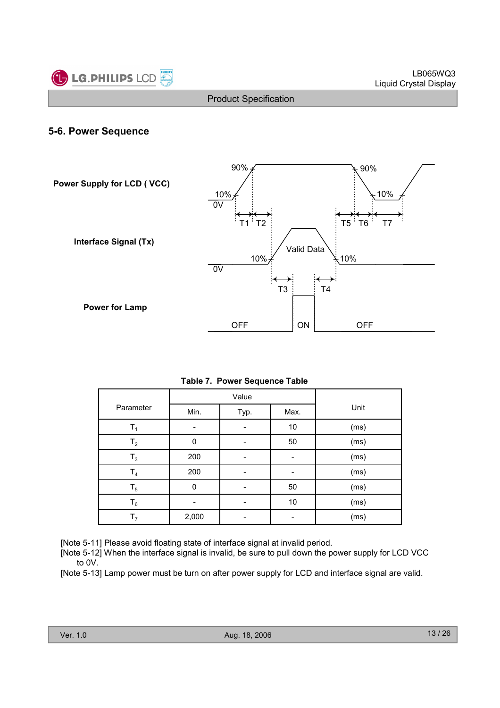

#### 5-6. Power Sequence



|                |              | Value |      |      |
|----------------|--------------|-------|------|------|
| Parameter      | Min.         | Typ.  | Max. | Unit |
| т.             |              |       | $10$ | (ms) |
| $T_{2}$        | $\mathbf{0}$ |       | 50   | (ms) |
| $T_3$          | 200          |       |      | (ms) |
| T <sub>4</sub> | 200          |       |      | (ms) |
| $T_{5}$        | 0            |       | 50   | (ms) |
| $\mathsf{T}_6$ |              |       | 10   | (ms) |
| T,             | 2,000        |       |      | (ms) |

[Note 5-11] Please avoid floating state of interface signal at invalid period.

[Note 5-12] When the interface signal is invalid, be sure to pull down the power supply for LCD VCC to 0V.

[Note 5-13] Lamp power must be turn on after power supply for LCD and interface signal are valid.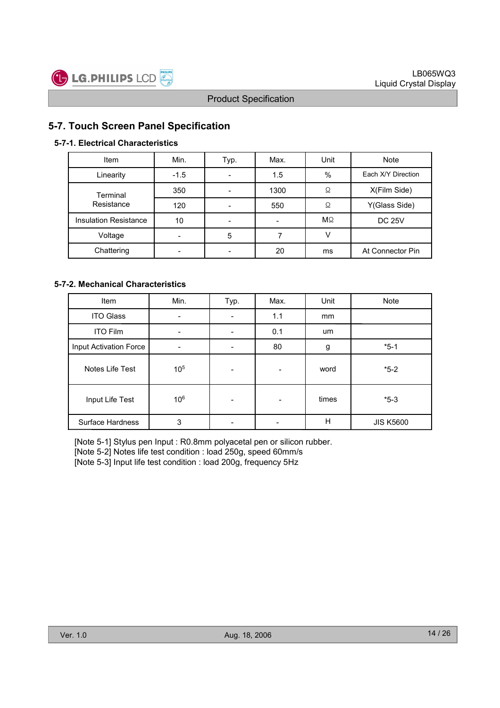![](_page_13_Picture_0.jpeg)

## 5-7. Touch Screen Panel Specification

#### 5-7-1. Electrical Characteristics

| Item                  | Min.   | Typ. | Max. | Unit      | <b>Note</b>        |
|-----------------------|--------|------|------|-----------|--------------------|
| Linearity             | $-1.5$ |      | 1.5  | $\%$      | Each X/Y Direction |
| Terminal              | 350    |      | 1300 | Ω         | X(Film Side)       |
| Resistance            | 120    |      | 550  | Ω         | Y(Glass Side)      |
| Insulation Resistance | 10     |      |      | $M\Omega$ | <b>DC 25V</b>      |
| Voltage               |        | 5    |      |           |                    |
| Chattering            |        |      | 20   | ms        | At Connector Pin   |

#### 5-7-2. Mechanical Characteristics

| Item                    | Min.            | Typ. | Max. | Unit  | Note             |
|-------------------------|-----------------|------|------|-------|------------------|
| <b>ITO Glass</b>        |                 |      | 1.1  | mm    |                  |
| <b>ITO Film</b>         |                 |      | 0.1  | um    |                  |
| Input Activation Force  |                 |      | 80   | g     | $*5-1$           |
| Notes Life Test         | 10 <sup>5</sup> |      |      | word  | $*5-2$           |
| Input Life Test         | 10 <sup>6</sup> |      |      | times | $*5-3$           |
| <b>Surface Hardness</b> | 3               |      |      | H     | <b>JIS K5600</b> |

[Note 5-1] Stylus pen Input : R0.8mm polyacetal pen or silicon rubber. [Note 5-2] Notes life test condition : load 250g, speed 60mm/s [Note 5-3] Input life test condition : load 200g, frequency 5Hz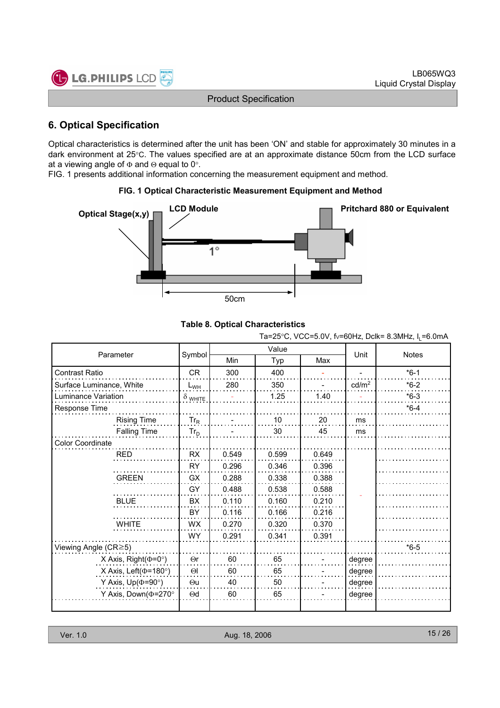![](_page_14_Picture_1.jpeg)

## 6. Optical Specification

Optical characteristics is determined after the unit has been 'ON' and stable for approximately 30 minutes in a dark environment at 25°C. The values specified are at an approximate distance 50cm from the LCD surface at a viewing angle of  $\Phi$  and  $\Theta$  equal to 0°.

FIG. 1 presents additional information concerning the measurement equipment and method.

#### FIG. 1 Optical Characteristic Measurement Equipment and Method

![](_page_14_Figure_7.jpeg)

#### Table 8. Optical Characteristics

Ta=25°C, VCC=5.0V, fv=60Hz, Dclk= 8.3MHz,  $I_1$ =6.0mA

| Parameter                     |                |       | Value |       | Unit              | <b>Notes</b> |
|-------------------------------|----------------|-------|-------|-------|-------------------|--------------|
|                               | Symbol         | Min   | Typ   | Max   |                   |              |
| Contrast Ratio                | <b>CR</b>      | 300   | 400   |       |                   | $*6-1$       |
| Surface Luminance, White      | $L_{WH}$       | 280   | 350   |       | cd/m <sup>2</sup> | $*6-2$       |
| Luminance Variation           | $\delta$ white |       | 1.25  | 1.40  |                   | $*6-3$       |
| Response Time                 |                |       |       |       |                   | $*6-4$       |
| <b>Rising Time</b>            | $Tr_R$         |       | 10    | 20    | ms                |              |
| <b>Falling Time</b>           | $Tr_D$         |       | 30    | 45    | ms                |              |
| Color Coordinate              |                |       |       |       |                   |              |
| <b>RED</b>                    | <b>RX</b>      | 0.549 | 0.599 | 0.649 |                   |              |
|                               | <b>RY</b>      | 0.296 | 0.346 | 0.396 |                   |              |
| <b>GREEN</b>                  | <b>GX</b>      | 0.288 | 0.338 | 0.388 |                   |              |
|                               | GY             | 0.488 | 0.538 | 0.588 |                   |              |
| <b>BLUE</b>                   | <b>BX</b>      | 0.110 | 0.160 | 0.210 |                   |              |
|                               | BY             | 0.116 | 0.166 | 0.216 |                   |              |
| <b>WHITE</b>                  | WX             | 0.270 | 0.320 | 0.370 |                   |              |
|                               | <b>WY</b>      | 0.291 | 0.341 | 0.391 |                   |              |
| Viewing Angle (CR≥5)          |                |       |       |       |                   | $*6-5$       |
| X Axis, Right( $\Phi$ =0°)    | $\Theta$ r     | 60    | 65    |       | degree            |              |
| X Axis, Left( $\Phi$ =180°)   | $\Theta$       | 60    | 65    |       | degree            |              |
| Y Axis, $Up(\Phi=90^{\circ})$ | $\Theta$ u     | 40    | 50    |       | degree            |              |
| Y Axis, Down( $\Phi$ =270°    | $\Theta$ d     | 60    | 65    |       | degree            |              |
|                               |                |       |       |       |                   |              |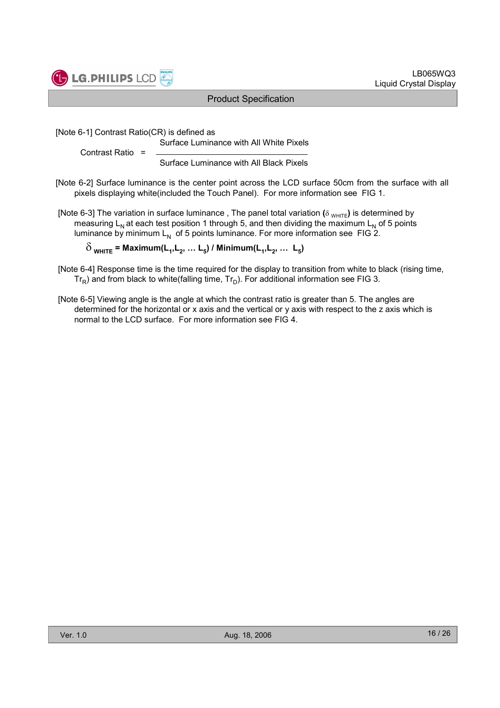![](_page_15_Picture_0.jpeg)

![](_page_15_Picture_1.jpeg)

[Note 6-1] Contrast Ratio(CR) is defined as

Surface Luminance with All White Pixels

Contrast Ratio =

Surface Luminance with All Black Pixels

[Note 6-2] Surface luminance is the center point across the LCD surface 50cm from the surface with all pixels displaying white(included the Touch Panel). For more information see FIG 1.

[Note 6-3] The variation in surface luminance, The panel total variation ( $\delta$  WHITE) is determined by measuring  $L_N$  at each test position 1 through 5, and then dividing the maximum  $L_N$  of 5 points luminance by minimum  $L_N$  of 5 points luminance. For more information see FIG 2.

 $\delta_{\text{WHITE}}$  = Maximum(L<sub>1</sub>,L<sub>2</sub>, ... L<sub>5</sub>) / Minimum(L<sub>1</sub>,L<sub>2</sub>, ... L<sub>5</sub>)

- [Note 6-4] Response time is the time required for the display to transition from white to black (rising time,  $Tr_R$ ) and from black to white(falling time,  $Tr_D$ ). For additional information see FIG 3.
- [Note 6-5] Viewing angle is the angle at which the contrast ratio is greater than 5. The angles are determined for the horizontal or x axis and the vertical or y axis with respect to the z axis which is normal to the LCD surface. For more information see FIG 4.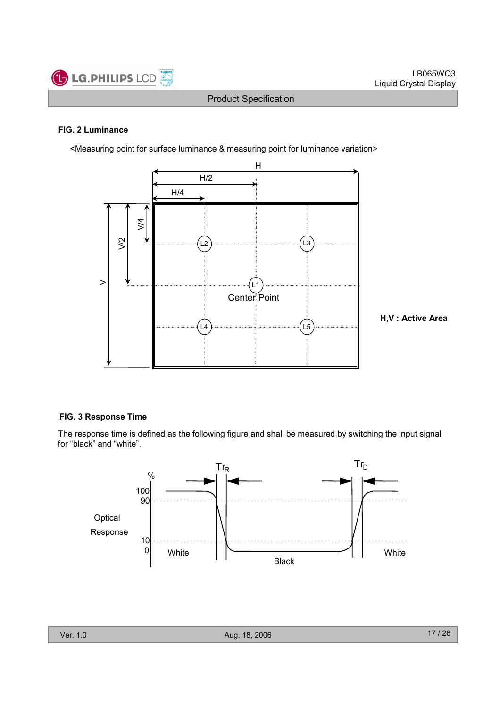![](_page_16_Picture_0.jpeg)

#### FIG. 2 Luminance

<Measuring point for surface luminance & measuring point for luminance variation>

![](_page_16_Figure_5.jpeg)

#### FIG. 3 Response Time

The response time is defined as the following figure and shall be measured by switching the input signal for "black" and "white".

![](_page_16_Figure_8.jpeg)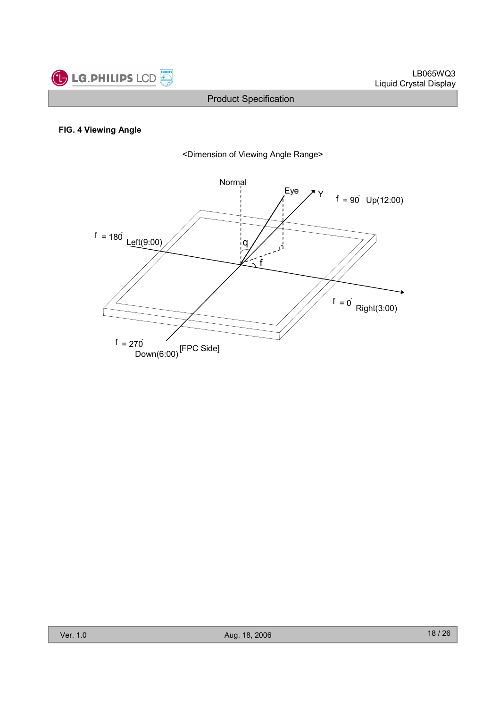![](_page_17_Picture_0.jpeg)

#### FIG. 4 Viewing Angle

![](_page_17_Figure_4.jpeg)

![](_page_17_Figure_5.jpeg)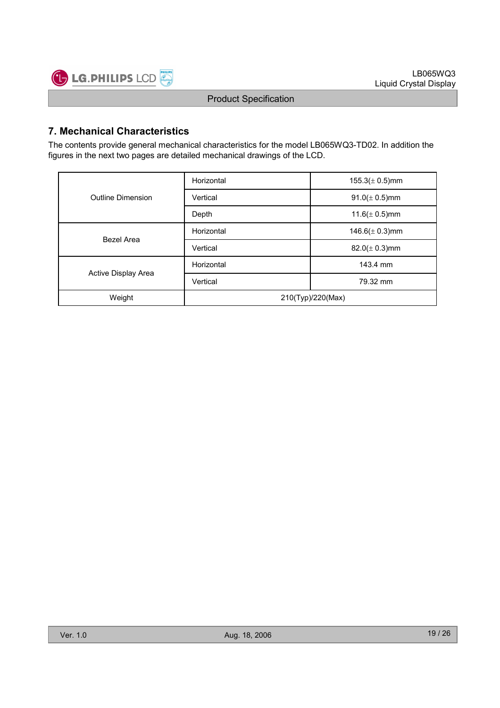![](_page_18_Picture_0.jpeg)

## 7. Mechanical Characteristics

The contents provide general mechanical characteristics for the model LB065WQ3-TD02. In addition the figures in the next two pages are detailed mechanical drawings of the LCD.

|                     | Horizontal | $155.3(\pm 0.5)$ mm |  |  |
|---------------------|------------|---------------------|--|--|
| Outline Dimension   | Vertical   | $91.0 (\pm 0.5)$ mm |  |  |
|                     | Depth      | $11.6(\pm 0.5)$ mm  |  |  |
| Bezel Area          | Horizontal | 146.6( $\pm$ 0.3)mm |  |  |
|                     | Vertical   | $82.0 (\pm 0.3)$ mm |  |  |
|                     | Horizontal | 143.4 mm            |  |  |
| Active Display Area | Vertical   | 79.32 mm            |  |  |
| Weight              |            | 210(Typ)/220(Max)   |  |  |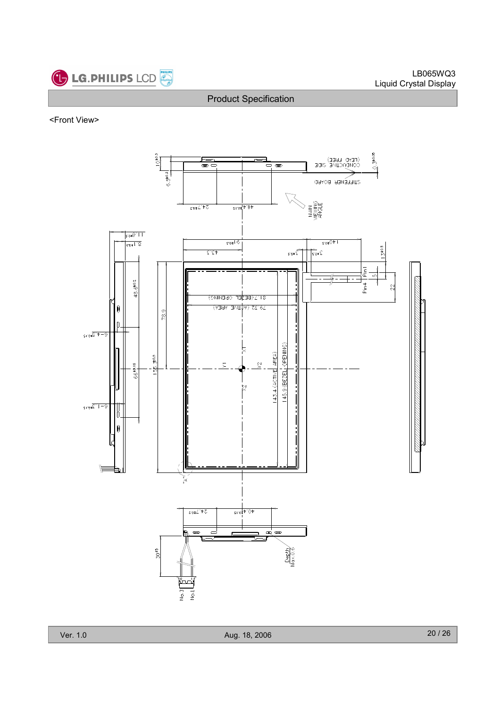![](_page_19_Picture_0.jpeg)

<Front View>

![](_page_19_Figure_4.jpeg)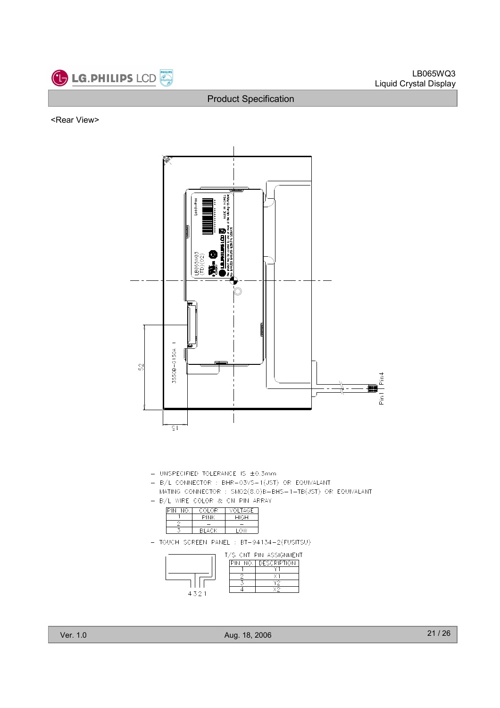![](_page_20_Picture_0.jpeg)

<Rear View>

![](_page_20_Figure_4.jpeg)

- UNSPECIFIED TOLERANCE IS ±0.3mm
- B/L CONNECTOR : BHR-03VS-1(JST) OR EQUIVALANT
- MATING CONNECTOR : SM02(8.0)B-BHS-1-TB(JST) OR EQUIVALANT - B/L WIRE COLOR & CN PIN ARRAY

| NO. | COLOR. | <b>VOLTAGE</b> |
|-----|--------|----------------|
|     |        | <b>HIGH</b>    |
|     |        |                |
|     | RI ACK |                |

- TOUCH SCREEN PANEL : BT-94134-2(FUSITSU)

|      | T/S CNT PIN ASSIGNMENT |
|------|------------------------|
|      | PIN NO.   DESCRIPTION  |
|      |                        |
|      |                        |
|      |                        |
|      |                        |
| 4321 |                        |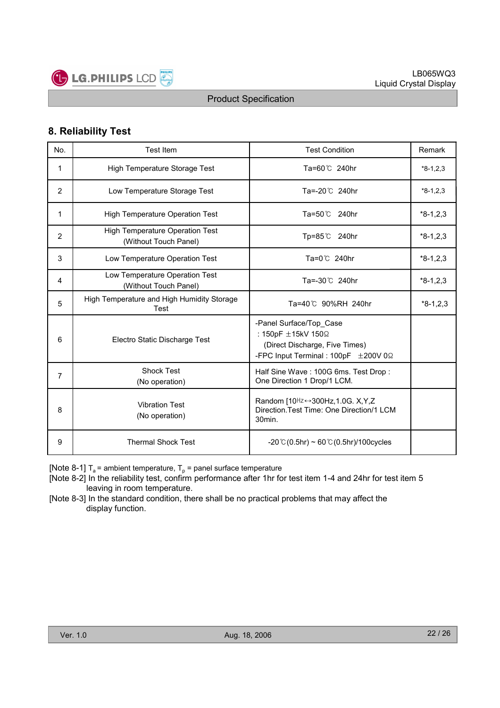![](_page_21_Picture_0.jpeg)

## 8. Reliability Test

| No. | <b>Test Item</b>                                                | <b>Test Condition</b>                                                                                                   | Remark     |
|-----|-----------------------------------------------------------------|-------------------------------------------------------------------------------------------------------------------------|------------|
| 1   | High Temperature Storage Test                                   | Ta=60℃ 240hr                                                                                                            | $*8-1,2,3$ |
| 2   | Low Temperature Storage Test                                    | Ta=-20℃ 240hr                                                                                                           | $*8-1,2,3$ |
| 1   | <b>High Temperature Operation Test</b>                          | Ta=50 ℃ 240hr                                                                                                           | $*8-1,2,3$ |
| 2   | <b>High Temperature Operation Test</b><br>(Without Touch Panel) | Tp=85℃ 240hr                                                                                                            | $*8-1,2,3$ |
| 3   | Low Temperature Operation Test                                  | Ta=0℃ 240hr                                                                                                             | $*8-1,2,3$ |
| 4   | Low Temperature Operation Test<br>(Without Touch Panel)         | Ta=-30℃ 240hr                                                                                                           | $*8-1,2,3$ |
| 5   | High Temperature and High Humidity Storage<br>Test              | Ta=40℃ 90%RH 240hr                                                                                                      | $*8-1,2,3$ |
| 6   | Electro Static Discharge Test                                   | -Panel Surface/Top Case<br>: 150pF ±15kV 150Ω<br>(Direct Discharge, Five Times)<br>-FPC Input Terminal : 100pF ±200V 0Ω |            |
| 7   | <b>Shock Test</b><br>(No operation)                             | Half Sine Wave: 100G 6ms. Test Drop:<br>One Direction 1 Drop/1 LCM.                                                     |            |
| 8   | <b>Vibration Test</b><br>(No operation)                         | Random [10 <sup>Hz ↔</sup> 300Hz, 1.0G. X, Y, Z<br>Direction. Test Time: One Direction/1 LCM<br>30min.                  |            |
| 9   | <b>Thermal Shock Test</b>                                       | $-20$ °C (0.5hr) ~ 60 °C (0.5hr)/100cycles                                                                              |            |

[Note 8-1]  $T_a$  = ambient temperature,  $T_p$  = panel surface temperature

[Note 8-2] In the reliability test, confirm performance after 1hr for test item 1-4 and 24hr for test item 5 leaving in room temperature.

[Note 8-3] In the standard condition, there shall be no practical problems that may affect the display function.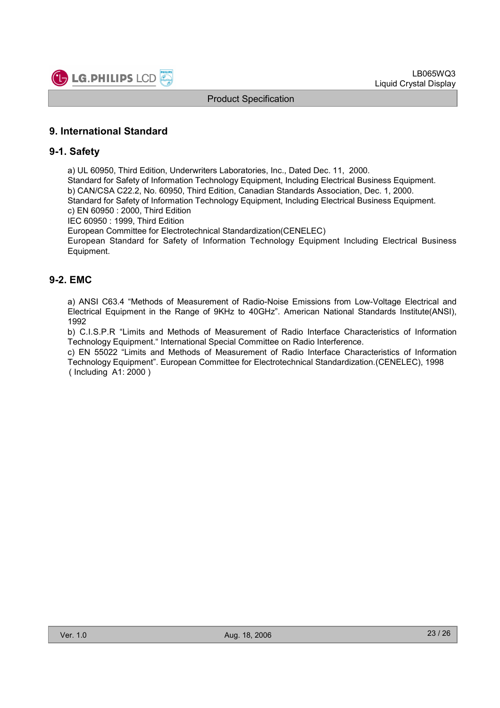![](_page_22_Picture_0.jpeg)

## 9. International Standard

#### 9-1. Safety

a) UL 60950, Third Edition, Underwriters Laboratories, Inc., Dated Dec. 11, 2000.

Standard for Safety of Information Technology Equipment, Including Electrical Business Equipment. b) CAN/CSA C22.2, No. 60950, Third Edition, Canadian Standards Association, Dec. 1, 2000. Standard for Safety of Information Technology Equipment, Including Electrical Business Equipment.

c) EN 60950 : 2000, Third Edition

IEC 60950 : 1999, Third Edition

European Committee for Electrotechnical Standardization(CENELEC)

European Standard for Safety of Information Technology Equipment Including Electrical Business Equipment.

## 9-2. EMC

a) ANSI C63.4 "Methods of Measurement of Radio-Noise Emissions from Low-Voltage Electrical and Electrical Equipment in the Range of 9KHz to 40GHz". American National Standards Institute(ANSI), 1992

b) C.I.S.P.R "Limits and Methods of Measurement of Radio Interface Characteristics of Information Technology Equipment." International Special Committee on Radio Interference.

c) EN 55022 "Limits and Methods of Measurement of Radio Interface Characteristics of Information Technology Equipment". European Committee for Electrotechnical Standardization.(CENELEC), 1998 ( Including A1: 2000 )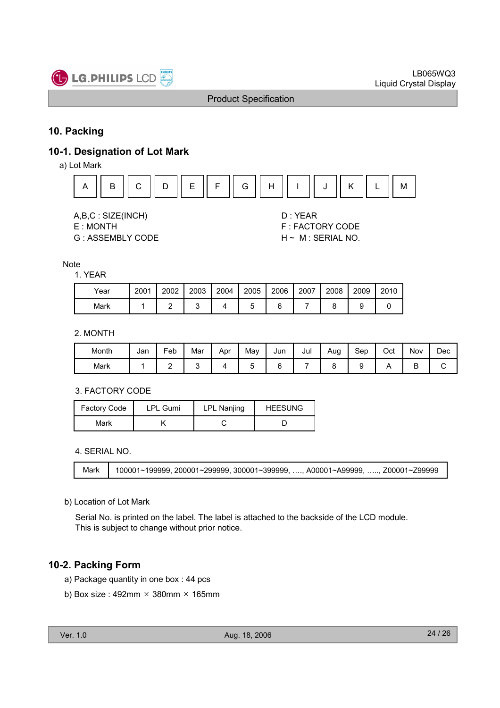![](_page_23_Picture_0.jpeg)

## 10. Packing

## 10-1. Designation of Lot Mark

a) Lot Mark

![](_page_23_Figure_6.jpeg)

A,B,C : SIZE(INCH) D : YEAR

G : ASSEMBLY CODE H ~ M : SERIAL NO.

E : MONTH F : FACTORY CODE

#### Note

1. YEAR

| Year | 2001 | 2002 | 2003 | 2004 | 2005 | 2006 | 2007 | 2008 | 2009 | 2010 |
|------|------|------|------|------|------|------|------|------|------|------|
| Mark |      |      |      |      |      |      |      |      |      |      |

#### 2. MONTH

| Month | Jan | -<br>=eb | Mar | Apr | May | Jun | Jul | Aug | Sep | Oct | Nov    | Dec |
|-------|-----|----------|-----|-----|-----|-----|-----|-----|-----|-----|--------|-----|
| Mark  |     | -        |     |     |     | L   |     |     |     |     | ┍<br>╺ | ັ   |

#### 3. FACTORY CODE

| Factory Code | <b>LPL Gumi</b> | <b>LPL Nanjing</b> | <b>HEESUNG</b> |
|--------------|-----------------|--------------------|----------------|
| Mark         |                 |                    |                |

#### 4. SERIAL NO.

| Mark | 100001~199999, 200001~299999, 300001~399999, , A00001~A99999, , Z00001~Z99999 |
|------|-------------------------------------------------------------------------------|
|------|-------------------------------------------------------------------------------|

#### b) Location of Lot Mark

Serial No. is printed on the label. The label is attached to the backside of the LCD module. This is subject to change without prior notice.

## 10-2. Packing Form

- a) Package quantity in one box : 44 pcs
- b) Box size : 492mm  $\times$  380mm  $\times$  165mm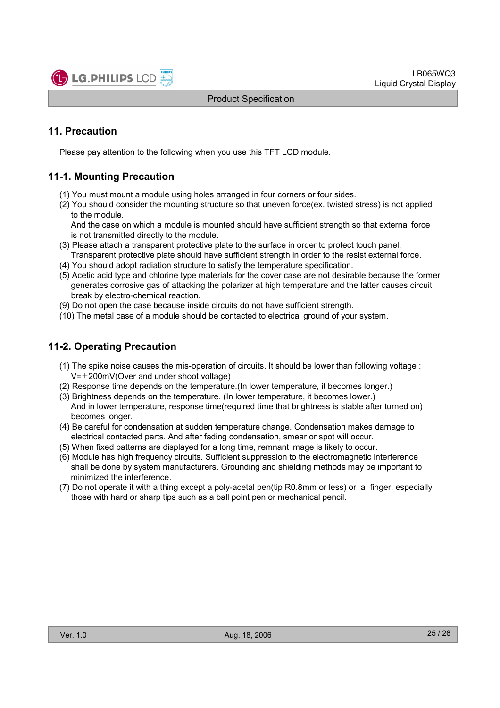![](_page_24_Picture_1.jpeg)

## 11. Precaution

Please pay attention to the following when you use this TFT LCD module.

## 11-1. Mounting Precaution

- (1) You must mount a module using holes arranged in four corners or four sides.
- (2) You should consider the mounting structure so that uneven force(ex. twisted stress) is not applied to the module.

And the case on which a module is mounted should have sufficient strength so that external force is not transmitted directly to the module.

- (3) Please attach a transparent protective plate to the surface in order to protect touch panel. Transparent protective plate should have sufficient strength in order to the resist external force.
- (4) You should adopt radiation structure to satisfy the temperature specification.
- (5) Acetic acid type and chlorine type materials for the cover case are not desirable because the former generates corrosive gas of attacking the polarizer at high temperature and the latter causes circuit break by electro-chemical reaction.
- (9) Do not open the case because inside circuits do not have sufficient strength.
- (10) The metal case of a module should be contacted to electrical ground of your system.

## 11-2. Operating Precaution

- (1) The spike noise causes the mis-operation of circuits. It should be lower than following voltage :  $V=\pm 200$ mV(Over and under shoot voltage)
- (2) Response time depends on the temperature.(In lower temperature, it becomes longer.)
- (3) Brightness depends on the temperature. (In lower temperature, it becomes lower.) And in lower temperature, response time(required time that brightness is stable after turned on) becomes longer.
- (4) Be careful for condensation at sudden temperature change. Condensation makes damage to electrical contacted parts. And after fading condensation, smear or spot will occur.
- (5) When fixed patterns are displayed for a long time, remnant image is likely to occur.
- (6) Module has high frequency circuits. Sufficient suppression to the electromagnetic interference shall be done by system manufacturers. Grounding and shielding methods may be important to minimized the interference.
- (7) Do not operate it with a thing except a poly-acetal pen(tip R0.8mm or less) or a finger, especially those with hard or sharp tips such as a ball point pen or mechanical pencil.